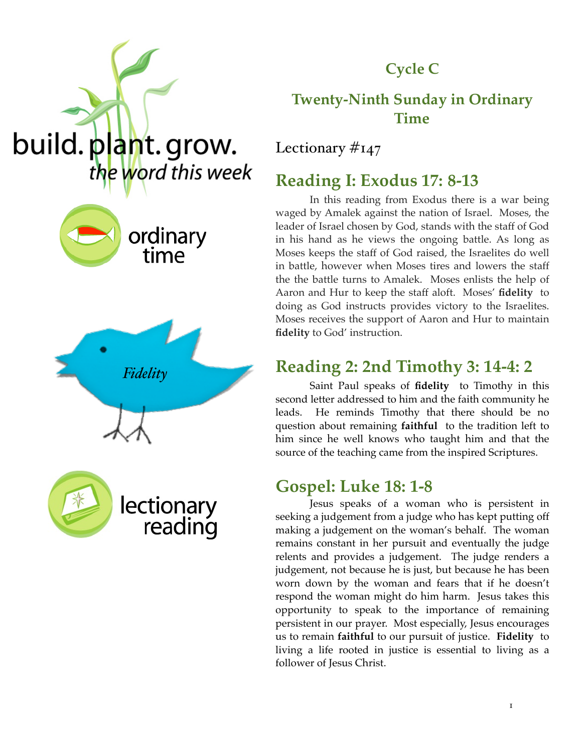

## **Cycle C**

### **Twenty-Ninth Sunday in Ordinary Time**

Lectionary  $\#_{147}$ 

### **Reading I: Exodus 17: 8-13**

In this reading from Exodus there is a war being waged by Amalek against the nation of Israel. Moses, the leader of Israel chosen by God, stands with the staff of God in his hand as he views the ongoing battle. As long as Moses keeps the staff of God raised, the Israelites do well in battle, however when Moses tires and lowers the staff the the battle turns to Amalek. Moses enlists the help of Aaron and Hur to keep the staff aloft. Moses' **fidelity** to doing as God instructs provides victory to the Israelites. Moses receives the support of Aaron and Hur to maintain **fidelity** to God' instruction.

## **Reading 2: 2nd Timothy 3: 14-4: 2**

Saint Paul speaks of **fidelity** to Timothy in this second letter addressed to him and the faith community he leads. He reminds Timothy that there should be no question about remaining **faithful** to the tradition left to him since he well knows who taught him and that the source of the teaching came from the inspired Scriptures.

### **Gospel: Luke 18: 1-8**

Jesus speaks of a woman who is persistent in seeking a judgement from a judge who has kept putting off making a judgement on the woman's behalf. The woman remains constant in her pursuit and eventually the judge relents and provides a judgement. The judge renders a judgement, not because he is just, but because he has been worn down by the woman and fears that if he doesn't respond the woman might do him harm. Jesus takes this opportunity to speak to the importance of remaining persistent in our prayer. Most especially, Jesus encourages us to remain **faithful** to our pursuit of justice. **Fidelity** to living a life rooted in justice is essential to living as a follower of Jesus Christ.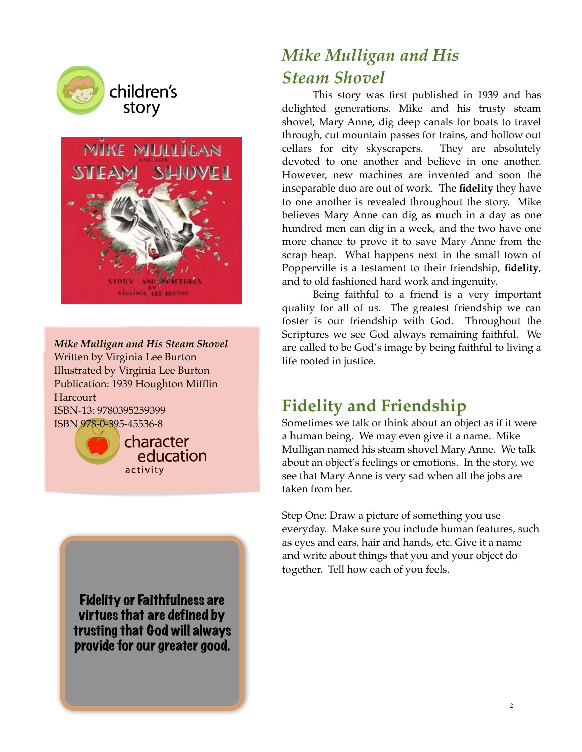



*Mike Mulligan and His Steam Shovel* Written by Virginia Lee Burton Illustrated by Virginia Lee Burton Publication: 1939 Houghton Mifflin **Harcourt** ISBN-13: 9780395259399

ISBN 978-0-395-45536-8



character education activity

Fidelity or Faithfulness are virtues that are defined by trusting that God will always provide for our greater good.

# *Mike Mulligan and His Steam Shovel*

This story was first published in 1939 and has delighted generations. Mike and his trusty steam shovel, Mary Anne, dig deep canals for boats to travel through, cut mountain passes for trains, and hollow out cellars for city skyscrapers. They are absolutely devoted to one another and believe in one another. However, new machines are invented and soon the inseparable duo are out of work. The **fidelity** they have to one another is revealed throughout the story. Mike believes Mary Anne can dig as much in a day as one hundred men can dig in a week, and the two have one more chance to prove it to save Mary Anne from the scrap heap. What happens next in the small town of Popperville is a testament to their friendship, **fidelity**, and to old fashioned hard work and ingenuity.

Being faithful to a friend is a very important quality for all of us. The greatest friendship we can foster is our friendship with God. Throughout the Scriptures we see God always remaining faithful. We are called to be God's image by being faithful to living a life rooted in justice.

# **Fidelity and Friendship**

Sometimes we talk or think about an object as if it were a human being. We may even give it a name. Mike Mulligan named his steam shovel Mary Anne. We talk about an object's feelings or emotions. In the story, we see that Mary Anne is very sad when all the jobs are taken from her.

Step One: Draw a picture of something you use everyday. Make sure you include human features, such as eyes and ears, hair and hands, etc. Give it a name and write about things that you and your object do together. Tell how each of you feels.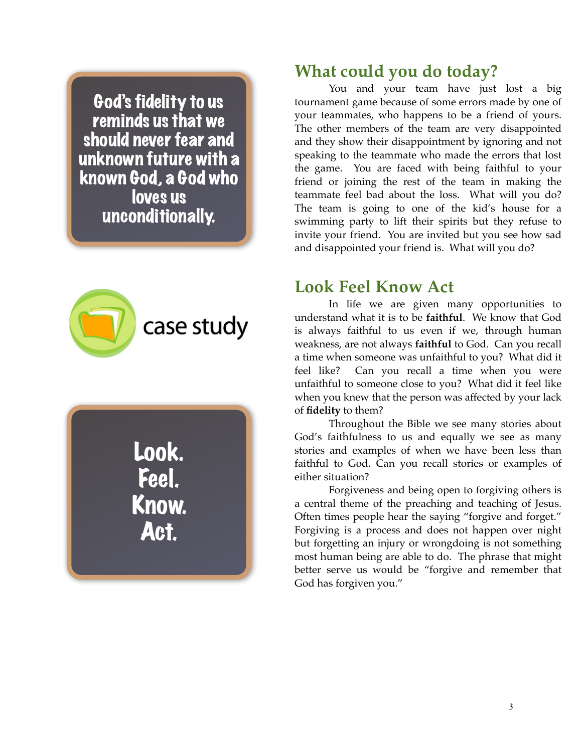God's fidelity to us reminds us that we should never fear and unknown future with a known God, a God who loves us unconditionally.



Look. Feel. Know. Act.

#### **What could you do today?**

You and your team have just lost a big tournament game because of some errors made by one of your teammates, who happens to be a friend of yours. The other members of the team are very disappointed and they show their disappointment by ignoring and not speaking to the teammate who made the errors that lost the game. You are faced with being faithful to your friend or joining the rest of the team in making the teammate feel bad about the loss. What will you do? The team is going to one of the kid's house for a swimming party to lift their spirits but they refuse to invite your friend. You are invited but you see how sad and disappointed your friend is. What will you do?

#### **Look Feel Know Act**

In life we are given many opportunities to understand what it is to be **faithful**. We know that God is always faithful to us even if we, through human weakness, are not always **faithful** to God. Can you recall a time when someone was unfaithful to you? What did it feel like? Can you recall a time when you were unfaithful to someone close to you? What did it feel like when you knew that the person was affected by your lack of **fidelity** to them?

Throughout the Bible we see many stories about God's faithfulness to us and equally we see as many stories and examples of when we have been less than faithful to God. Can you recall stories or examples of either situation?

Forgiveness and being open to forgiving others is a central theme of the preaching and teaching of Jesus. Often times people hear the saying "forgive and forget." Forgiving is a process and does not happen over night but forgetting an injury or wrongdoing is not something most human being are able to do. The phrase that might better serve us would be "forgive and remember that God has forgiven you."